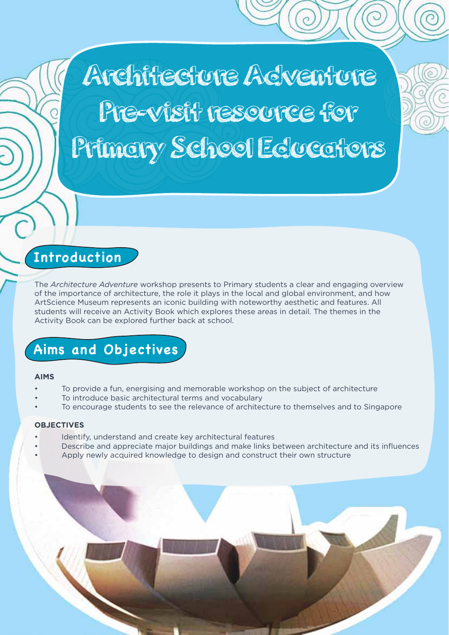Architecture Acventure Pre-visit resource for Primary School Educators

# **Introduction**

The *Architecture Adventure* workshop presents to Primary students a clear and engaging overview of the importance of architecture, the role it plays in the local and global environment, and how ArtScience Museum represents an iconic building with noteworthy aesthetic and features. All students will receive an Activity Book which explores these areas in detail. The themes in the Activity Book can be explored further back at school.

# **Aims and Objectives**

#### **AIMS**

- To provide a fun, energising and memorable workshop on the subject of architecture
- To introduce basic architectural terms and vocabulary
- To encourage students to see the relevance of architecture to themselves and to Singapore

### **OBJECTIVES**

- Identify, understand and create key architectural features
- Describe and appreciate major buildings and make links between architecture and its influences • Apply newly acquired knowledge to design and construct their own structure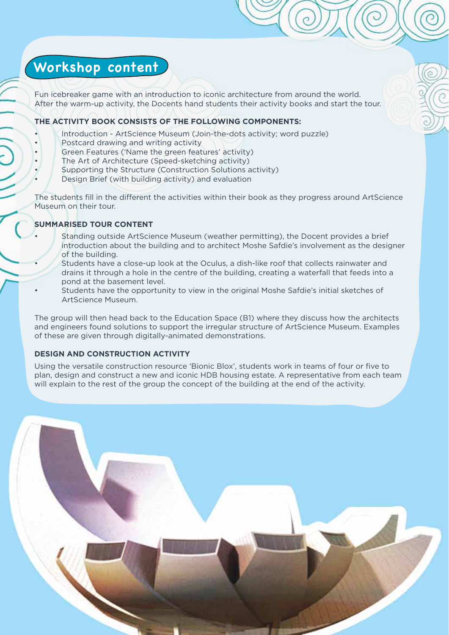# **Workshop content**

Fun icebreaker game with an introduction to iconic architecture from around the world. After the warm-up activity, the Docents hand students their activity books and start the tour.

### **THE ACTIVITY BOOK CONSISTS OF THE FOLLOWING COMPONENTS:**

- Introduction ArtScience Museum (Join-the-dots activity; word puzzle)
- Postcard drawing and writing activity
- Green Features ('Name the green features' activity)
- The Art of Architecture (Speed-sketching activity)
- Supporting the Structure (Construction Solutions activity)
- Design Brief (with building activity) and evaluation

The students fill in the different the activities within their book as they progress around ArtScience Museum on their tour.

# **SUMMARISED TOUR CONTENT**

- Standing outside ArtScience Museum (weather permitting), the Docent provides a brief introduction about the building and to architect Moshe Safdie's involvement as the designer of the building.
- Students have a close-up look at the Oculus, a dish-like roof that collects rainwater and drains it through a hole in the centre of the building, creating a waterfall that feeds into a pond at the basement level.
- Students have the opportunity to view in the original Moshe Safdie's initial sketches of ArtScience Museum.

The group will then head back to the Education Space (B1) where they discuss how the architects and engineers found solutions to support the irregular structure of ArtScience Museum. Examples of these are given through digitally-animated demonstrations.

### **DESIGN AND CONSTRUCTION ACTIVITY**

Using the versatile construction resource 'Bionic Blox', students work in teams of four or five to plan, design and construct a new and iconic HDB housing estate. A representative from each team will explain to the rest of the group the concept of the building at the end of the activity.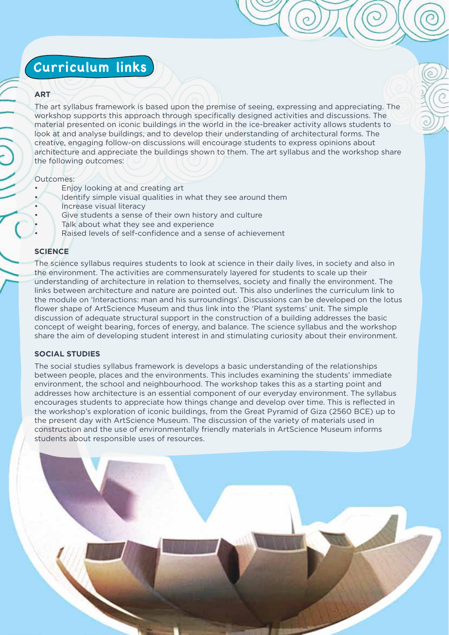# **Curriculum links**

### **ART**

The art syllabus framework is based upon the premise of seeing, expressing and appreciating. The workshop supports this approach through specifically designed activities and discussions. The material presented on iconic buildings in the world in the ice-breaker activity allows students to look at and analyse buildings, and to develop their understanding of architectural forms. The creative, engaging follow-on discussions will encourage students to express opinions about architecture and appreciate the buildings shown to them. The art syllabus and the workshop share the following outcomes:

#### Outcomes:

- Enjoy looking at and creating art
- Identify simple visual qualities in what they see around them Increase visual literacy
- Give students a sense of their own history and culture
- Talk about what they see and experience
- Raised levels of self-confidence and a sense of achievement

# **SCIENCE**

The science syllabus requires students to look at science in their daily lives, in society and also in the environment. The activities are commensurately layered for students to scale up their understanding of architecture in relation to themselves, society and finally the environment. The links between architecture and nature are pointed out. This also underlines the curriculum link to the module on 'Interactions: man and his surroundings'. Discussions can be developed on the lotus flower shape of ArtScience Museum and thus link into the 'Plant systems' unit. The simple discussion of adequate structural support in the construction of a building addresses the basic concept of weight bearing, forces of energy, and balance. The science syllabus and the workshop share the aim of developing student interest in and stimulating curiosity about their environment.

### **SOCIAL STUDIES**

The social studies syllabus framework is develops a basic understanding of the relationships between people, places and the environments. This includes examining the students' immediate environment, the school and neighbourhood. The workshop takes this as a starting point and addresses how architecture is an essential component of our everyday environment. The syllabus encourages students to appreciate how things change and develop over time. This is reflected in the workshop's exploration of iconic buildings, from the Great Pyramid of Giza (2560 BCE) up to the present day with ArtScience Museum. The discussion of the variety of materials used in construction and the use of environmentally friendly materials in ArtScience Museum informs students about responsible uses of resources.